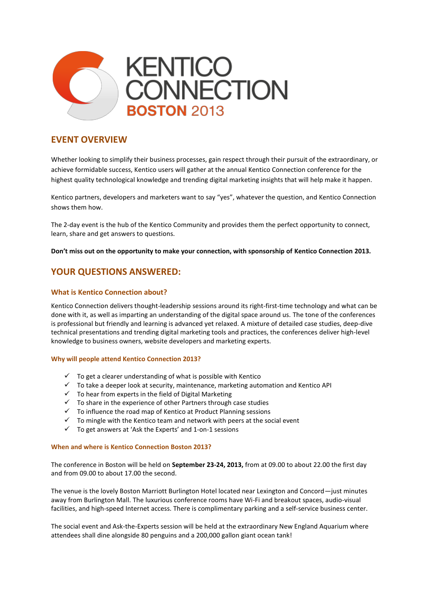

## **EVENT OVERVIEW**

Whether looking to simplify their business processes, gain respect through their pursuit of the extraordinary, or achieve formidable success, Kentico users will gather at the annual Kentico Connection conference for the highest quality technological knowledge and trending digital marketing insights that will help make it happen.

Kentico partners, developers and marketers want to say "yes", whatever the question, and Kentico Connection shows them how.

The 2-day event is the hub of the Kentico Community and provides them the perfect opportunity to connect, learn, share and get answers to questions.

**Don't miss out on the opportunity to make your connection, with sponsorship of Kentico Connection 2013.**

# **YOUR QUESTIONS ANSWERED:**

## **What is Kentico Connection about?**

Kentico Connection delivers thought-leadership sessions around its right-first-time technology and what can be done with it, as well as imparting an understanding of the digital space around us. The tone of the conferences is professional but friendly and learning is advanced yet relaxed. A mixture of detailed case studies, deep-dive technical presentations and trending digital marketing tools and practices, the conferences deliver high-level knowledge to business owners, website developers and marketing experts.

### **Why will people attend Kentico Connection 2013?**

- $\checkmark$  To get a clearer understanding of what is possible with Kentico
- $\checkmark$  To take a deeper look at security, maintenance, marketing automation and Kentico API
- $\checkmark$  To hear from experts in the field of Digital Marketing
- $\checkmark$  To share in the experience of other Partners through case studies
- $\checkmark$  To influence the road map of Kentico at Product Planning sessions
- $\checkmark$  To mingle with the Kentico team and network with peers at the social event
- $\checkmark$  To get answers at 'Ask the Experts' and 1-on-1 sessions

#### **When and where is Kentico Connection Boston 2013?**

The conference in Boston will be held on **September 23-24, 2013,** from at 09.00 to about 22.00 the first day and from 09.00 to about 17.00 the second.

The venue is the lovely Boston Marriott Burlington Hotel located near Lexington and Concord—just minutes away from Burlington Mall. The luxurious conference rooms have Wi-Fi and breakout spaces, audio-visual facilities, and high-speed Internet access. There is complimentary parking and a self-service business center.

The social event and Ask-the-Experts session will be held at the extraordinary New England Aquarium where attendees shall dine alongside 80 penguins and a 200,000 gallon giant ocean tank!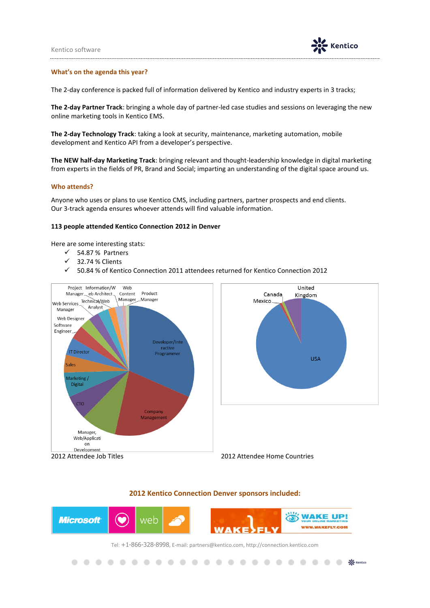

● ● ※ Kentico

#### **What's on the agenda this year?**

The 2-day conference is packed full of information delivered by Kentico and industry experts in 3 tracks;

**The 2-day Partner Track**: bringing a whole day of partner-led case studies and sessions on leveraging the new online marketing tools in Kentico EMS.

**The 2-day Technology Track**: taking a look at security, maintenance, marketing automation, mobile development and Kentico API from a developer's perspective.

**The NEW half-day Marketing Track**: bringing relevant and thought-leadership knowledge in digital marketing from experts in the fields of PR, Brand and Social; imparting an understanding of the digital space around us.

#### **Who attends?**

.

Anyone who uses or plans to use Kentico CMS, including partners, partner prospects and end clients. Our 3-track agenda ensures whoever attends will find valuable information.

#### **113 people attended Kentico Connection 2012 in Denver**

Here are some interesting stats:

- $\checkmark$  54.87% Partners
- $\checkmark$  32.74 % Clients
- 50.84 % of Kentico Connection 2011 attendees returned for Kentico Connection 2012



#### **2012 Kentico Connection Denver sponsors included:**



Tel: +1-866-328-8998, E-mail: partners@kentico.com, http://connection.kentico.com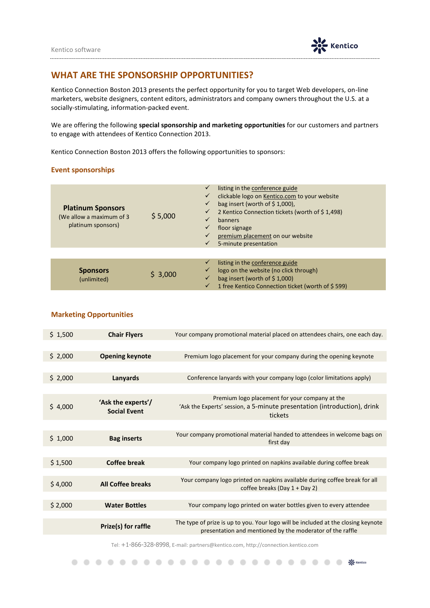

## **WHAT ARE THE SPONSORSHIP OPPORTUNITIES?**

Kentico Connection Boston 2013 presents the perfect opportunity for you to target Web developers, on-line marketers, website designers, content editors, administrators and company owners throughout the U.S. at a socially-stimulating, information-packed event.

We are offering the following **special sponsorship and marketing opportunities** for our customers and partners to engage with attendees of Kentico Connection 2013.

Kentico Connection Boston 2013 offers the following opportunities to sponsors:

### **Event sponsorships**

| <b>Platinum Sponsors</b><br>(We allow a maximum of 3<br>platinum sponsors) | \$5,000 | listing in the conference guide<br>clickable logo on Kentico.com to your website<br>✓<br>bag insert (worth of $\frac{2}{3}$ 1,000),<br>2 Kentico Connection tickets (worth of \$1,498)<br>$\checkmark$<br>banners<br>floor signage<br>premium placement on our website<br>5-minute presentation<br>$\checkmark$ |
|----------------------------------------------------------------------------|---------|-----------------------------------------------------------------------------------------------------------------------------------------------------------------------------------------------------------------------------------------------------------------------------------------------------------------|
| <b>Sponsors</b><br>(unlimited)                                             | \$3,000 | listing in the conference guide<br>logo on the website (no click through)<br>bag insert (worth of $$1,000$ )<br>1 free Kentico Connection ticket (worth of \$599)                                                                                                                                               |

## **Marketing Opportunities**

| \$1,500 | <b>Chair Flyers</b>                       | Your company promotional material placed on attendees chairs, one each day.                                                                    |
|---------|-------------------------------------------|------------------------------------------------------------------------------------------------------------------------------------------------|
|         |                                           |                                                                                                                                                |
| \$2,000 | <b>Opening keynote</b>                    | Premium logo placement for your company during the opening keynote                                                                             |
|         |                                           |                                                                                                                                                |
| \$2,000 | Lanyards                                  | Conference lanyards with your company logo (color limitations apply)                                                                           |
|         |                                           |                                                                                                                                                |
| \$4,000 | 'Ask the experts'/<br><b>Social Event</b> | Premium logo placement for your company at the<br>'Ask the Experts' session, a 5-minute presentation (introduction), drink<br>tickets          |
|         |                                           |                                                                                                                                                |
| \$1,000 | <b>Bag inserts</b>                        | Your company promotional material handed to attendees in welcome bags on<br>first day                                                          |
|         |                                           |                                                                                                                                                |
| \$1,500 | <b>Coffee break</b>                       | Your company logo printed on napkins available during coffee break                                                                             |
|         |                                           |                                                                                                                                                |
| \$4,000 | <b>All Coffee breaks</b>                  | Your company logo printed on napkins available during coffee break for all<br>coffee breaks (Day $1 + Day 2$ )                                 |
|         |                                           |                                                                                                                                                |
| \$2,000 | <b>Water Bottles</b>                      | Your company logo printed on water bottles given to every attendee                                                                             |
|         |                                           |                                                                                                                                                |
|         | Prize(s) for raffle                       | The type of prize is up to you. Your logo will be included at the closing keynote<br>presentation and mentioned by the moderator of the raffle |

Tel: +1-866-328-8998, E-mail: partners@kentico.com, http://connection.kentico.com